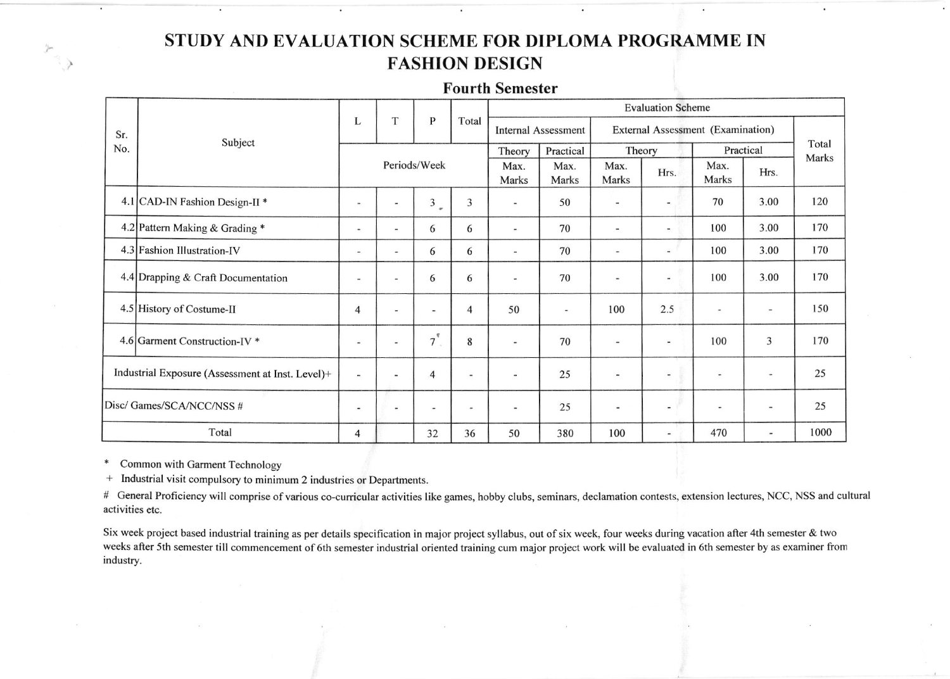# STUDY AND EVALUATION SCHEME FOR DIPLOMA PROGRAMME IN FASHION DESIGN

# Fourth Semester

| Sr.<br>No.                                       | Subject                                   | L                            | $\mathbf T$              | P                        | Total          | <b>Evaluation Scheme</b>                                        |                          |                          |                              |                              |                              |      |
|--------------------------------------------------|-------------------------------------------|------------------------------|--------------------------|--------------------------|----------------|-----------------------------------------------------------------|--------------------------|--------------------------|------------------------------|------------------------------|------------------------------|------|
|                                                  |                                           |                              |                          |                          |                | External Assessment (Examination)<br><b>Internal Assessment</b> |                          |                          |                              |                              |                              |      |
|                                                  |                                           |                              |                          |                          | Theory         | Practical                                                       | Practical<br>Theory      |                          |                              | Total<br>Marks               |                              |      |
|                                                  |                                           | Periods/Week                 |                          |                          |                | Max.<br>Marks                                                   | Max.<br>Marks            | Max.<br>Marks            | Hrs.                         | Max.<br>Marks                | Hrs.                         |      |
|                                                  | 4.1 CAD-IN Fashion Design-II <sup>*</sup> | $\blacksquare$               | $\blacksquare$           | 3<br>$\omega$            | 3              | ٠                                                               | 50                       | $\overline{\phantom{a}}$ | $\qquad \qquad \blacksquare$ | 70                           | 3.00                         | 120  |
|                                                  | 4.2 Pattern Making & Grading *            | $\blacksquare$               | $\blacksquare$           | 6                        | 6              | $\qquad \qquad \blacksquare$                                    | 70                       | $\overline{\phantom{a}}$ | $\overline{\phantom{a}}$     | 100                          | 3.00                         | 170  |
|                                                  | 4.3 Fashion Illustration-IV               | $\sim$                       | $\overline{\phantom{0}}$ | 6                        | 6              | $\blacksquare$                                                  | 70                       | $\,$                     | $\overline{\phantom{0}}$     | 100                          | 3.00                         | 170  |
|                                                  | 4.4 Drapping & Craft Documentation        | $\sim$                       | $\omega$                 | 6                        | 6              | $\overline{\phantom{a}}$                                        | 70                       | $\overline{\phantom{a}}$ |                              | 100                          | 3.00                         | 170  |
|                                                  | 4.5 History of Costume-II                 | 4                            | $\frac{1}{2}$            | $\blacksquare$           | $\overline{4}$ | 50                                                              | $\overline{\phantom{a}}$ | 100                      | 2.5                          | $\frac{1}{2}$                | $\qquad \qquad \blacksquare$ | 150  |
|                                                  | 4.6 Garment Construction-IV *             | $\qquad \qquad \blacksquare$ | $\overline{\phantom{a}}$ | $7^{9}$                  | 8              | $\overline{\phantom{a}}$                                        | 70                       | $\overline{\phantom{a}}$ | $\overline{\phantom{a}}$     | 100                          | 3                            | 170  |
| Industrial Exposure (Assessment at Inst. Level)+ |                                           | $\blacksquare$               | $\blacksquare$           | 4                        | $\overline{a}$ | $\blacksquare$                                                  | 25                       | $\overline{\phantom{a}}$ | $\overline{\phantom{m}}$     | $\qquad \qquad \blacksquare$ | $\overline{a}$               | 25   |
| Disc/ Games/SCA/NCC/NSS #                        |                                           | $\overline{\phantom{a}}$     | $\overline{\phantom{a}}$ | $\overline{\phantom{a}}$ | ÷              | $\overline{\phantom{a}}$                                        | 25                       | $\overline{\phantom{a}}$ | $\overline{\phantom{a}}$     | $\overline{a}$               | $\overline{\phantom{a}}$     | 25   |
| Total                                            |                                           | 4                            |                          | 32                       | 36             | 50                                                              | 380                      | 100                      |                              | 470                          | $\overline{\phantom{a}}$     | 1000 |

\* Common with Garment Technology

+ Industrial visit compulsory to minimum 2 industries or Departments.

# General Proficiency will comprise of various co-curricular activities like games, hobby clubs, seminars, declamation contests, extension lectures, NCC, NSS and cultural activities etc.

Six week project based industrial training as per details specification in major project syllabus, out of six week, four weeks during vacation after 4th semester & two weeks after 5th semester till commencement of 6th semester industrial oriented training cum major project work will be evaluated in 6th semester by as examiner from industry.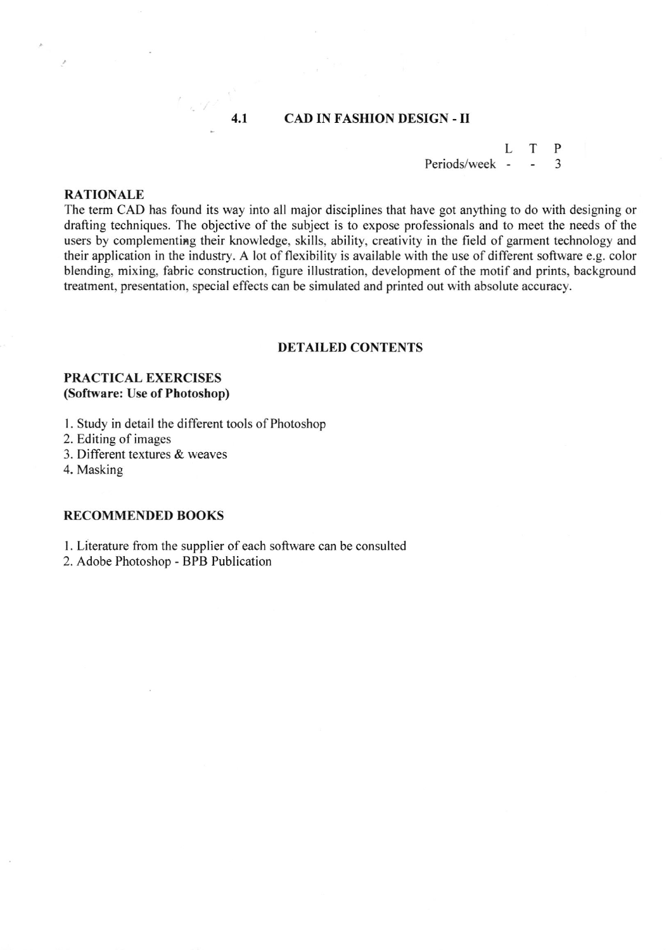## 4.I CAD IN FASHION DESIGN .II

L P T 3 Periods/week -

#### RATIONALE

The term CAD has found its way into all major disciplines that have got anything to do with designing or drafting techniques. The objective of the subject is to expose professionals and to meet the needs of the users by complementing their knowledge, skills, ability, creativity in the field of garment technology and their application in the industry. A lot of flexibility is available with the use of different software e.g. color blending, mixing, fabric construction, figure illustration, development of the motif and prints, background treatment, presentation. special effects can be simulated and printed out with absolute accuracy.

#### DETAILED CONTENTS

## PRACTICAL EXERCISES (Software: Use of Photoshop)

- 1. Study in detail the different tools of Photoshop
- 2. Editing of images
- 3. Different textures & weaves
- 4. Masking

#### RECOMMENDED BOOKS

1. Literature from the supplier of each software can be consulted

2. Adobe Photoshop - BPB Publication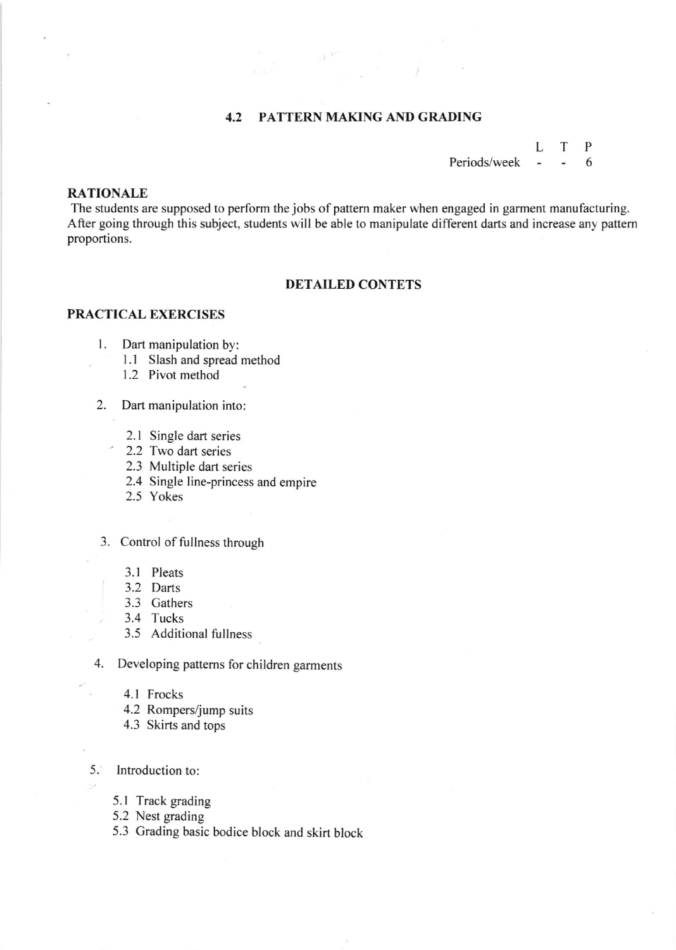# 4.2 PATTERN MAKING AND GRADING

L Periods/week T P 6

## RATIONALE

The students are supposed to perform the jobs of pattern maker when engaged in garment manufacturing. After going through this subject, students will be able to manipulate different darts and increase any pattern proportions.

#### DETAILED CONTETS

## PRACTICAL EXERCISES

- 1. Dart manipulation by:
	- l.l Slash and spread method
	- <sup>I</sup>.2 Pivot method
- 2. Dart manipulation into:
	- 2.1 Single dart series
	- 2.2 Two dart series
	- 2.3 Multiple dart series
	- 2.4 Single line-princess and empire
	- 2.5 Yokes

3. Control of fullness through

- 3.1 Pleats
- 3.2 Darts
- 3.3 Gathers
- 3.4 Tucks
- 3.5 Additional fullness

4. Developing pattems for children garments

- 4.1 Frocks
- 4.2 Rompers/jump suits
- 4.3 Skirts and tops

## 5. Introduction to:

- 5.1 Track grading
- 5.2 Nest grading
- 5.3 Grading basic bodice block and skirt block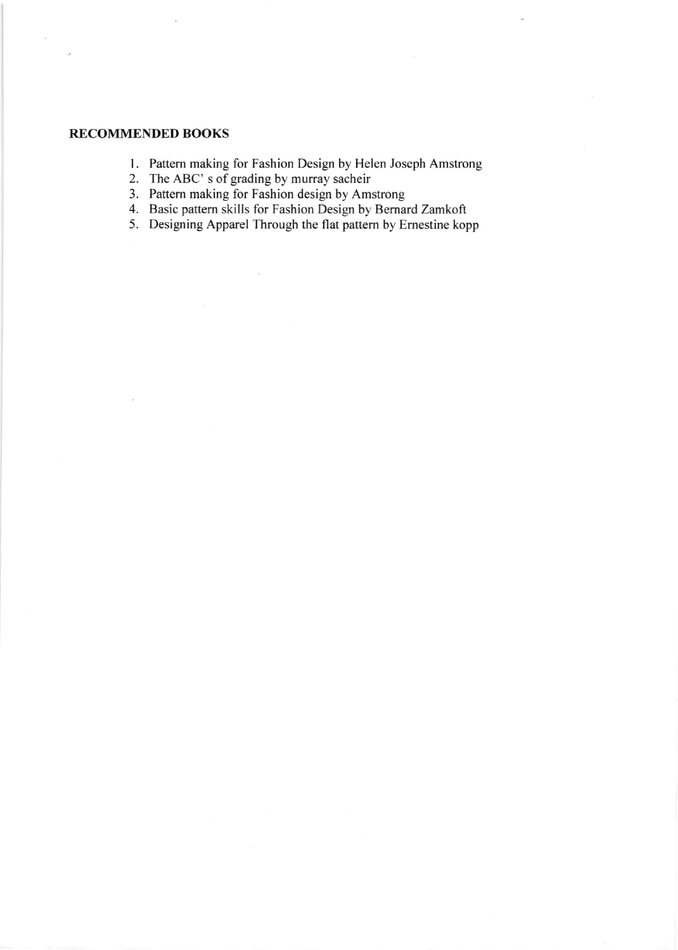# RECOMMENDED BOOKS

- l. Pattern making for Fashion Design by Helen Joseph Amstrong
- 2. The ABC' s of grading by murray sacheir
- 3. Pattern making for Fashion design by Amstrong
- 4. Basic pattern skills for Fashion Design by Bernard Zamkoft
- 5. Designing Apparel Through the flat pattem by Ernestine kopp